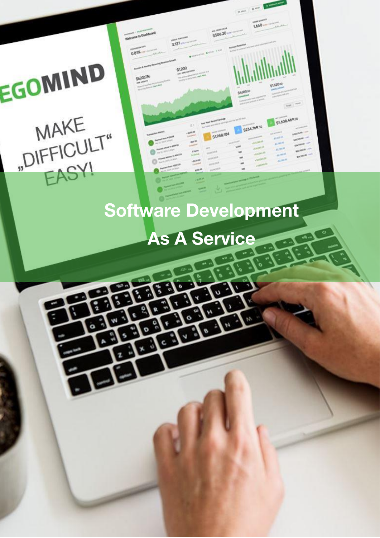# As A Service

**Software Development** 

1,650

\$254,769.50

\$1,608,469.50

 $5306.20$ 

\$1,958.104

**Melcome to Dashboa** 

0.81%

 $3.357 -$ 

\$1200

# EGOMIND MAKE "DIFFICULT" EASY!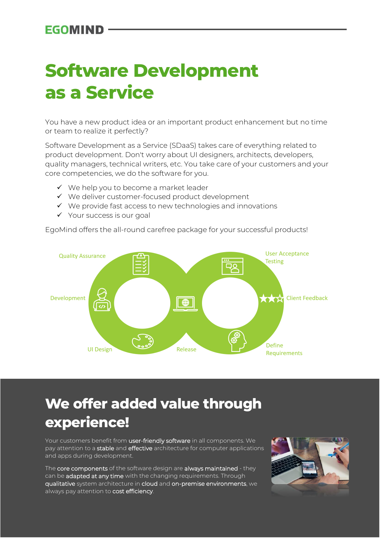### **Software Development as a Service**

You have a new product idea or an important product enhancement but no time or team to realize it perfectly?

Software Development as a Service (SDaaS) takes care of everything related to product development. Don't worry about UI designers, architects, developers, quality managers, technical writers, etc. You take care of your customers and your core competencies, we do the software for you.

- ✓ We help you to become a market leader
- ✓ We deliver customer-focused product development
- ✓ We provide fast access to new technologies and innovations
- ✓ Your success is our goal

EgoMind offers the all-round carefree package for your successful products!



### **We offer added value through experience!**

Your customers benefit from user-friendly software in all components. We pay attention to a stable and effective architecture for computer applications and apps during development.

The core components of the software design are always maintained - they can be adapted at any time with the changing requirements. Through qualitative system architecture in cloud and on-premise environments, we always pay attention to cost efficiency.

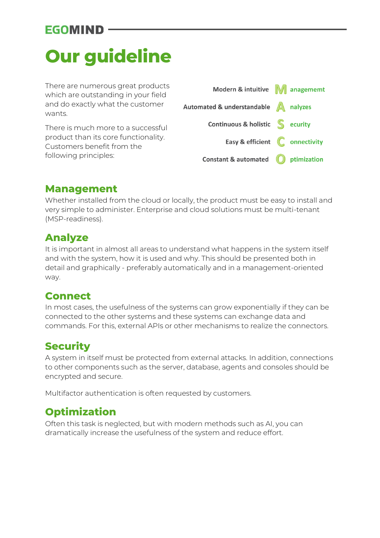## **Our guideline**

There are numerous great products which are outstanding in your field and do exactly what the customer wants.

There is much more to a successful product than its core functionality. Customers benefit from the following principles:



#### **Management**

Whether installed from the cloud or locally, the product must be easy to install and very simple to administer. Enterprise and cloud solutions must be multi-tenant (MSP-readiness).

### **Analyze**

It is important in almost all areas to understand what happens in the system itself and with the system, how it is used and why. This should be presented both in detail and graphically - preferably automatically and in a management-oriented way.

#### **Connect**

In most cases, the usefulness of the systems can grow exponentially if they can be connected to the other systems and these systems can exchange data and commands. For this, external APIs or other mechanisms to realize the connectors.

### **Security**

A system in itself must be protected from external attacks. In addition, connections to other components such as the server, database, agents and consoles should be encrypted and secure.

Multifactor authentication is often requested by customers.

### **Optimization**

Often this task is neglected, but with modern methods such as AI, you can dramatically increase the usefulness of the system and reduce effort.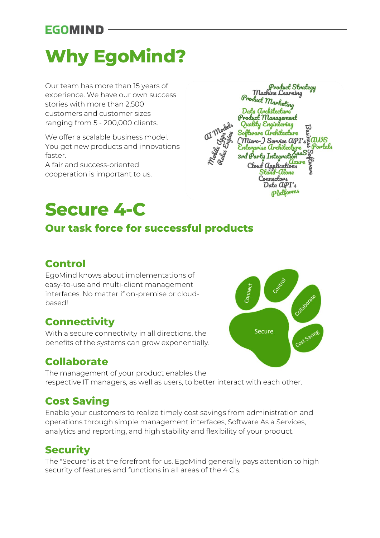## **Why EgoMind?**

Our team has more than 15 years of experience. We have our own success stories with more than 2,500 customers and customer sizes ranging from 5 - 200,000 clients.

We offer a scalable business model. You get new products and innovations faster.

A fair and success-oriented cooperation is important to us.

# **Secure 4-C**

### **Our task force for successful products**

### **Control**

EgoMind knows about implementations of easy-to-use and multi-client management interfaces. No matter if on-premise or cloudbased!

### **Connectivity**

With a secure connectivity in all directions, the benefits of the systems can grow exponentially.

### **Collaborate**

The management of your product enables the respective IT managers, as well as users, to better interact with each other.

### **Cost Saving**

Enable your customers to realize timely cost savings from administration and operations through simple management interfaces, Software As a Services, analytics and reporting, and high stability and flexibility of your product.

### **Security**

The "Secure" is at the forefront for us. EgoMind generally pays attention to high security of features and functions in all areas of the 4 C's.